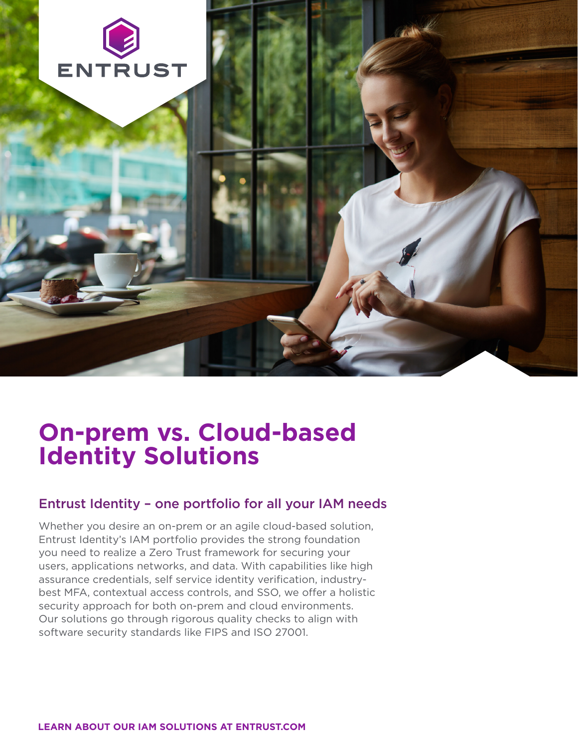

# **On-prem vs. Cloud-based Identity Solutions**

#### Entrust Identity – one portfolio for all your IAM needs

Whether you desire an on-prem or an agile cloud-based solution, Entrust Identity's IAM portfolio provides the strong foundation you need to realize a Zero Trust framework for securing your users, applications networks, and data. With capabilities like high assurance credentials, self service identity verification, industrybest MFA, contextual access controls, and SSO, we offer a holistic security approach for both on-prem and cloud environments. Our solutions go through rigorous quality checks to align with software security standards like FIPS and ISO 27001.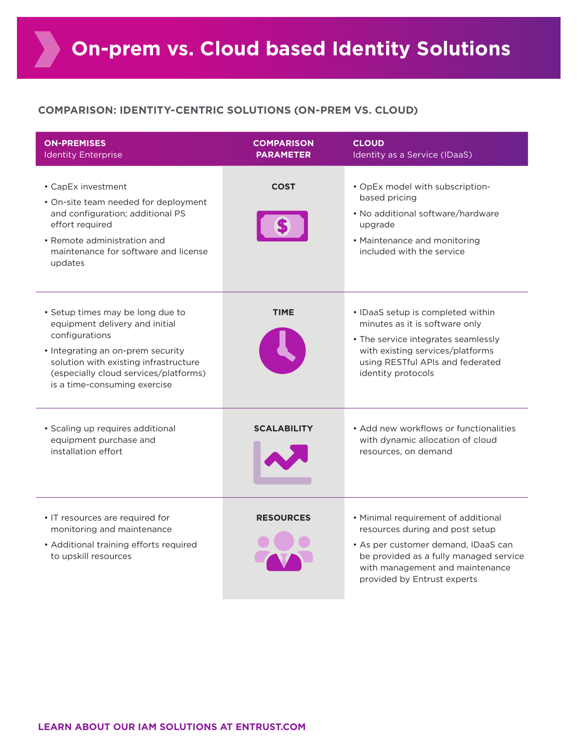#### **COMPARISON: IDENTITY-CENTRIC SOLUTIONS (ON-PREM VS. CLOUD)**

| <b>ON-PREMISES</b><br><b>Identity Enterprise</b>                                                                                                                                                                                            | <b>COMPARISON</b><br><b>PARAMETER</b> | <b>CLOUD</b><br>Identity as a Service (IDaaS)                                                                                                                                                                             |
|---------------------------------------------------------------------------------------------------------------------------------------------------------------------------------------------------------------------------------------------|---------------------------------------|---------------------------------------------------------------------------------------------------------------------------------------------------------------------------------------------------------------------------|
| • CapEx investment<br>• On-site team needed for deployment<br>and configuration; additional PS<br>effort required<br>• Remote administration and<br>maintenance for software and license<br>updates                                         | <b>COST</b>                           | • OpEx model with subscription-<br>based pricing<br>• No additional software/hardware<br>upgrade<br>• Maintenance and monitoring<br>included with the service                                                             |
| • Setup times may be long due to<br>equipment delivery and initial<br>configurations<br>• Integrating an on-prem security<br>solution with existing infrastructure<br>(especially cloud services/platforms)<br>is a time-consuming exercise | <b>TIME</b>                           | • IDaaS setup is completed within<br>minutes as it is software only<br>• The service integrates seamlessly<br>with existing services/platforms<br>using RESTful APIs and federated<br>identity protocols                  |
| · Scaling up requires additional<br>equipment purchase and<br>installation effort                                                                                                                                                           | <b>SCALABILITY</b>                    | • Add new workflows or functionalities<br>with dynamic allocation of cloud<br>resources, on demand                                                                                                                        |
| • IT resources are required for<br>monitoring and maintenance<br>• Additional training efforts required<br>to upskill resources                                                                                                             | <b>RESOURCES</b>                      | • Minimal requirement of additional<br>resources during and post setup<br>• As per customer demand, IDaaS can<br>be provided as a fully managed service<br>with management and maintenance<br>provided by Entrust experts |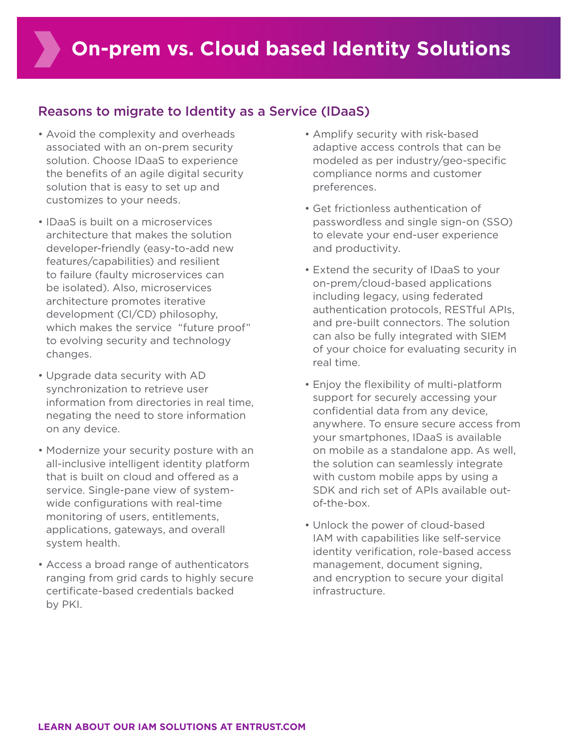#### Reasons to migrate to Identity as a Service (IDaaS)

- Avoid the complexity and overheads associated with an on-prem security solution. Choose IDaaS to experience the benefits of an agile digital security solution that is easy to set up and customizes to your needs.
- IDaaS is built on a microservices architecture that makes the solution developer-friendly (easy-to-add new features/capabilities) and resilient to failure (faulty microservices can be isolated). Also, microservices architecture promotes iterative development (CI/CD) philosophy, which makes the service "future proof" to evolving security and technology changes.
- Upgrade data security with AD synchronization to retrieve user information from directories in real time, negating the need to store information on any device.
- Modernize your security posture with an all-inclusive intelligent identity platform that is built on cloud and offered as a service. Single-pane view of systemwide configurations with real-time monitoring of users, entitlements, applications, gateways, and overall system health.
- Access a broad range of authenticators ranging from grid cards to highly secure certificate-based credentials backed by PKI.
- Amplify security with risk-based adaptive access controls that can be modeled as per industry/geo-specific compliance norms and customer preferences.
- Get frictionless authentication of passwordless and single sign-on (SSO) to elevate your end-user experience and productivity.
- Extend the security of IDaaS to your on-prem/cloud-based applications including legacy, using federated authentication protocols, RESTful APIs, and pre-built connectors. The solution can also be fully integrated with SIEM of your choice for evaluating security in real time.
- Enjoy the flexibility of multi-platform support for securely accessing your confidential data from any device, anywhere. To ensure secure access from your smartphones, IDaaS is available on mobile as a standalone app. As well, the solution can seamlessly integrate with custom mobile apps by using a SDK and rich set of APIs available outof-the-box.
- Unlock the power of cloud-based IAM with capabilities like self-service identity verification, role-based access management, document signing, and encryption to secure your digital infrastructure.